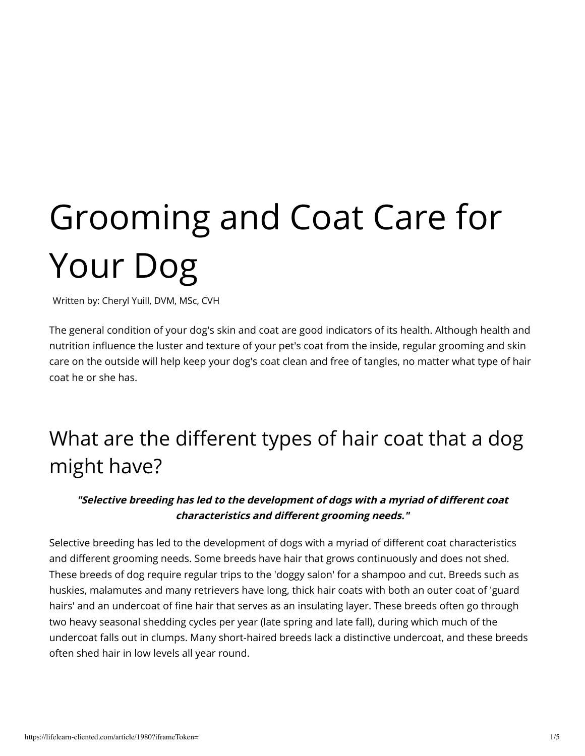# Grooming and Coat Care for Your Dog

Written by: Cheryl Yuill, DVM, MSc, CVH

The general condition of your dog's skin and coat are good indicators of its health. Although health and nutrition influence the luster and texture of your pet's coat from the inside, regular grooming and skin care on the outside will help keep your dog's coat clean and free of tangles, no matter what type of hair coat he or she has.

# What are the different types of hair coat that a dog might have?

#### "Selective breeding has led to the development of dogs with a myriad of different coat characteristics and different grooming needs."

Selective breeding has led to the development of dogs with a myriad of different coat characteristics and different grooming needs. Some breeds have hair that grows continuously and does not shed. These breeds of dog require regular trips to the 'doggy salon' for a shampoo and cut. Breeds such as huskies, malamutes and many retrievers have long, thick hair coats with both an outer coat of 'guard hairs' and an undercoat of fine hair that serves as an insulating layer. These breeds often go through two heavy seasonal shedding cycles per year (late spring and late fall), during which much of the undercoat falls out in clumps. Many short-haired breeds lack a distinctive undercoat, and these breeds often shed hair in low levels all year round.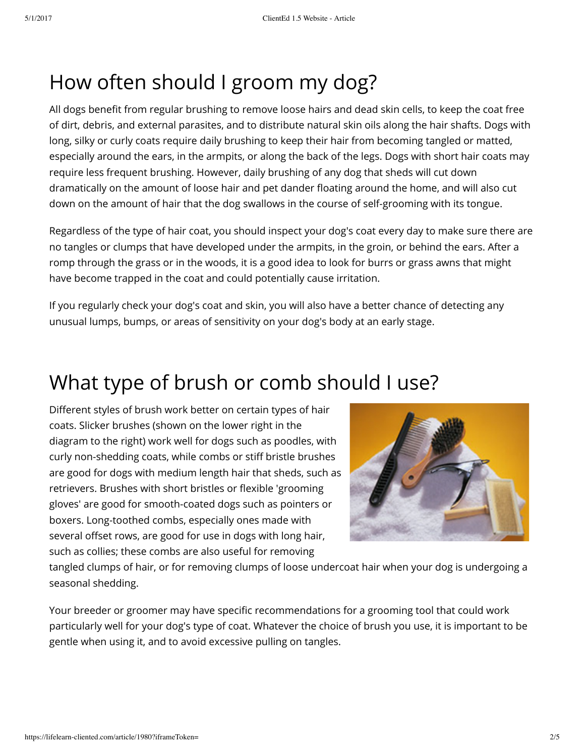# How often should I groom my dog?

All dogs benefit from regular brushing to remove loose hairs and dead skin cells, to keep the coat free of dirt, debris, and external parasites, and to distribute natural skin oils along the hair shafts. Dogs with long, silky or curly coats require daily brushing to keep their hair from becoming tangled or matted, especially around the ears, in the armpits, or along the back of the legs. Dogs with short hair coats may require less frequent brushing. However, daily brushing of any dog that sheds will cut down dramatically on the amount of loose hair and pet dander floating around the home, and will also cut down on the amount of hair that the dog swallows in the course of self-grooming with its tongue.

Regardless of the type of hair coat, you should inspect your dog's coat every day to make sure there are no tangles or clumps that have developed under the armpits, in the groin, or behind the ears. After a romp through the grass or in the woods, it is a good idea to look for burrs or grass awns that might have become trapped in the coat and could potentially cause irritation.

If you regularly check your dog's coat and skin, you will also have a better chance of detecting any unusual lumps, bumps, or areas of sensitivity on your dog's body at an early stage.

# What type of brush or comb should I use?

Different styles of brush work better on certain types of hair coats. Slicker brushes (shown on the lower right in the diagram to the right) work well for dogs such as poodles, with curly non-shedding coats, while combs or stiff bristle brushes are good for dogs with medium length hair that sheds, such as retrievers. Brushes with short bristles or flexible 'grooming gloves' are good for smooth-coated dogs such as pointers or boxers. Long-toothed combs, especially ones made with several offset rows, are good for use in dogs with long hair, such as collies; these combs are also useful for removing



tangled clumps of hair, or for removing clumps of loose undercoat hair when your dog is undergoing a seasonal shedding.

Your breeder or groomer may have specific recommendations for a grooming tool that could work particularly well for your dog's type of coat. Whatever the choice of brush you use, it is important to be gentle when using it, and to avoid excessive pulling on tangles.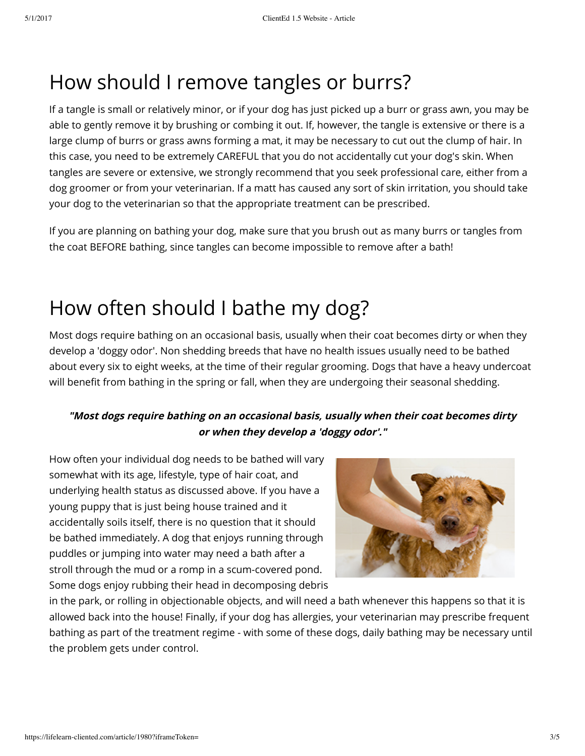# How should I remove tangles or burrs?

If a tangle is small or relatively minor, or if your dog has just picked up a burr or grass awn, you may be able to gently remove it by brushing or combing it out. If, however, the tangle is extensive or there is a large clump of burrs or grass awns forming a mat, it may be necessary to cut out the clump of hair. In this case, you need to be extremely CAREFUL that you do not accidentally cut your dog's skin. When tangles are severe or extensive, we strongly recommend that you seek professional care, either from a dog groomer or from your veterinarian. If a matt has caused any sort of skin irritation, you should take your dog to the veterinarian so that the appropriate treatment can be prescribed.

If you are planning on bathing your dog, make sure that you brush out as many burrs or tangles from the coat BEFORE bathing, since tangles can become impossible to remove after a bath!

### How often should I bathe my dog?

Most dogs require bathing on an occasional basis, usually when their coat becomes dirty or when they develop a 'doggy odor'. Non shedding breeds that have no health issues usually need to be bathed about every six to eight weeks, at the time of their regular grooming. Dogs that have a heavy undercoat will benefit from bathing in the spring or fall, when they are undergoing their seasonal shedding.

#### **"Most dogs require bathing on an occasional basis, usually when their coat becomes dirty or when they develop a 'doggy odor'."**

How often your individual dog needs to be bathed will vary somewhat with its age, lifestyle, type of hair coat, and underlying health status as discussed above. If you have a young puppy that is just being house trained and it accidentally soils itself, there is no question that it should be bathed immediately. A dog that enjoys running through puddles or jumping into water may need a bath after a stroll through the mud or a romp in a scum-covered pond. Some dogs enjoy rubbing their head in decomposing debris



in the park, or rolling in objectionable objects, and will need a bath whenever this happens so that it is allowed back into the house! Finally, if your dog has allergies, your veterinarian may prescribe frequent bathing as part of the treatment regime - with some of these dogs, daily bathing may be necessary until the problem gets under control.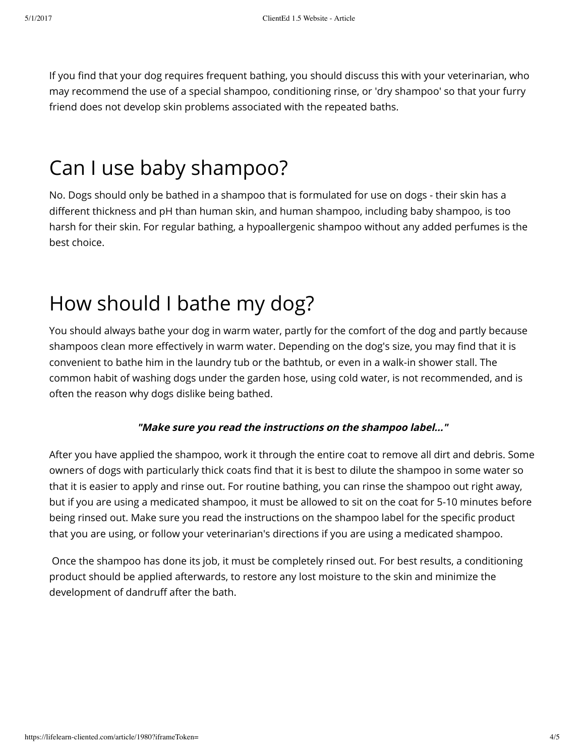If you find that your dog requires frequent bathing, you should discuss this with your veterinarian, who may recommend the use of a special shampoo, conditioning rinse, or 'dry shampoo' so that your furry friend does not develop skin problems associated with the repeated baths.

### Can I use baby shampoo?

No. Dogs should only be bathed in a shampoo that is formulated for use on dogs - their skin has a different thickness and pH than human skin, and human shampoo, including baby shampoo, is too harsh for their skin. For regular bathing, a hypoallergenic shampoo without any added perfumes is the best choice.

# How should I bathe my dog?

You should always bathe your dog in warm water, partly for the comfort of the dog and partly because shampoos clean more effectively in warm water. Depending on the dog's size, you may find that it is convenient to bathe him in the laundry tub or the bathtub, or even in a walk-in shower stall. The common habit of washing dogs under the garden hose, using cold water, is not recommended, and is often the reason why dogs dislike being bathed.

#### **"Make sure you read the instructions on the shampoo label..."**

After you have applied the shampoo, work it through the entire coat to remove all dirt and debris. Some owners of dogs with particularly thick coats find that it is best to dilute the shampoo in some water so that it is easier to apply and rinse out. For routine bathing, you can rinse the shampoo out right away, but if you are using a medicated shampoo, it must be allowed to sit on the coat for 5-10 minutes before being rinsed out. Make sure you read the instructions on the shampoo label for the specific product that you are using, or follow your veterinarian's directions if you are using a medicated shampoo.

Once the shampoo has done its job, it must be completely rinsed out. For best results, a conditioning product should be applied afterwards, to restore any lost moisture to the skin and minimize the development of dandruff after the bath.